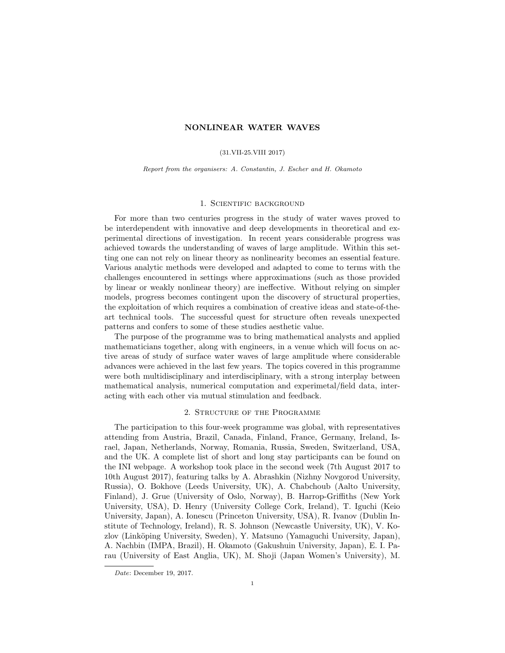## NONLINEAR WATER WAVES

#### (31.VII-25.VIII 2017)

Report from the organisers: A. Constantin, J. Escher and H. Okamoto

# 1. Scientific background

For more than two centuries progress in the study of water waves proved to be interdependent with innovative and deep developments in theoretical and experimental directions of investigation. In recent years considerable progress was achieved towards the understanding of waves of large amplitude. Within this setting one can not rely on linear theory as nonlinearity becomes an essential feature. Various analytic methods were developed and adapted to come to terms with the challenges encountered in settings where approximations (such as those provided by linear or weakly nonlinear theory) are ineffective. Without relying on simpler models, progress becomes contingent upon the discovery of structural properties, the exploitation of which requires a combination of creative ideas and state-of-theart technical tools. The successful quest for structure often reveals unexpected patterns and confers to some of these studies aesthetic value.

The purpose of the programme was to bring mathematical analysts and applied mathematicians together, along with engineers, in a venue which will focus on active areas of study of surface water waves of large amplitude where considerable advances were achieved in the last few years. The topics covered in this programme were both multidisciplinary and interdisciplinary, with a strong interplay between mathematical analysis, numerical computation and experimetal/field data, interacting with each other via mutual stimulation and feedback.

## 2. Structure of the Programme

The participation to this four-week programme was global, with representatives attending from Austria, Brazil, Canada, Finland, France, Germany, Ireland, Israel, Japan, Netherlands, Norway, Romania, Russia, Sweden, Switzerland, USA, and the UK. A complete list of short and long stay participants can be found on the INI webpage. A workshop took place in the second week (7th August 2017 to 10th August 2017), featuring talks by A. Abrashkin (Nizhny Novgorod University, Russia), O. Bokhove (Leeds University, UK), A. Chabchoub (Aalto University, Finland), J. Grue (University of Oslo, Norway), B. Harrop-Griffiths (New York University, USA), D. Henry (University College Cork, Ireland), T. Iguchi (Keio University, Japan), A. Ionescu (Princeton University, USA), R. Ivanov (Dublin Institute of Technology, Ireland), R. S. Johnson (Newcastle University, UK), V. Kozlov (Linköping University, Sweden), Y. Matsuno (Yamaguchi University, Japan), A. Nachbin (IMPA, Brazil), H. Okamoto (Gakushuin University, Japan), E. I. Parau (University of East Anglia, UK), M. Shoji (Japan Women's University), M.

Date: December 19, 2017.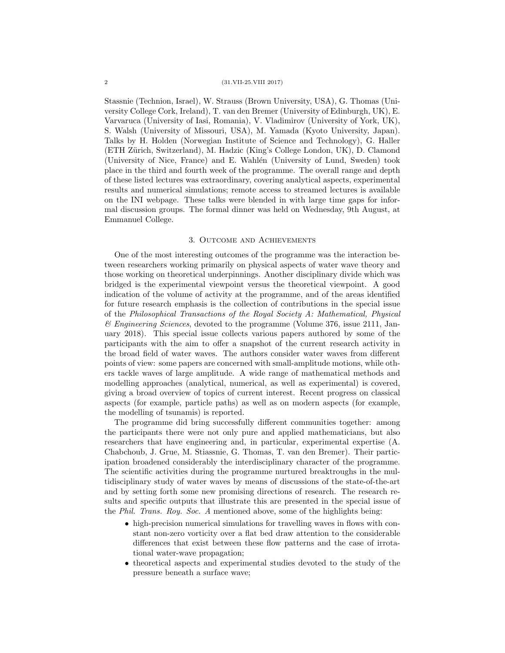#### 2 (31.VII-25.VIII 2017)

Stassnie (Technion, Israel), W. Strauss (Brown University, USA), G. Thomas (University College Cork, Ireland), T. van den Bremer (University of Edinburgh, UK), E. Varvaruca (University of Iasi, Romania), V. Vladimirov (University of York, UK), S. Walsh (University of Missouri, USA), M. Yamada (Kyoto University, Japan). Talks by H. Holden (Norwegian Institute of Science and Technology), G. Haller (ETH Z¨urich, Switzerland), M. Hadzic (King's College London, UK), D. Clamond (University of Nice, France) and E. Wahlén (University of Lund, Sweden) took place in the third and fourth week of the programme. The overall range and depth of these listed lectures was extraordinary, covering analytical aspects, experimental results and numerical simulations; remote access to streamed lectures is available on the INI webpage. These talks were blended in with large time gaps for informal discussion groups. The formal dinner was held on Wednesday, 9th August, at Emmanuel College.

### 3. Outcome and Achievements

One of the most interesting outcomes of the programme was the interaction between researchers working primarily on physical aspects of water wave theory and those working on theoretical underpinnings. Another disciplinary divide which was bridged is the experimental viewpoint versus the theoretical viewpoint. A good indication of the volume of activity at the programme, and of the areas identified for future research emphasis is the collection of contributions in the special issue of the Philosophical Transactions of the Royal Society A: Mathematical, Physical  $\mathscr$ *Engineering Sciences*, devoted to the programme (Volume 376, issue 2111, January 2018). This special issue collects various papers authored by some of the participants with the aim to offer a snapshot of the current research activity in the broad field of water waves. The authors consider water waves from different points of view: some papers are concerned with small-amplitude motions, while others tackle waves of large amplitude. A wide range of mathematical methods and modelling approaches (analytical, numerical, as well as experimental) is covered, giving a broad overview of topics of current interest. Recent progress on classical aspects (for example, particle paths) as well as on modern aspects (for example, the modelling of tsunamis) is reported.

The programme did bring successfully different communities together: among the participants there were not only pure and applied mathematicians, but also researchers that have engineering and, in particular, experimental expertise (A. Chabchoub, J. Grue, M. Stiassnie, G. Thomas, T. van den Bremer). Their participation broadened considerably the interdisciplinary character of the programme. The scientific activities during the programme nurtured breaktroughs in the multidisciplinary study of water waves by means of discussions of the state-of-the-art and by setting forth some new promising directions of research. The research results and specific outputs that illustrate this are presented in the special issue of the Phil. Trans. Roy. Soc. A mentioned above, some of the highlights being:

- high-precision numerical simulations for travelling waves in flows with constant non-zero vorticity over a flat bed draw attention to the considerable differences that exist between these flow patterns and the case of irrotational water-wave propagation;
- theoretical aspects and experimental studies devoted to the study of the pressure beneath a surface wave;